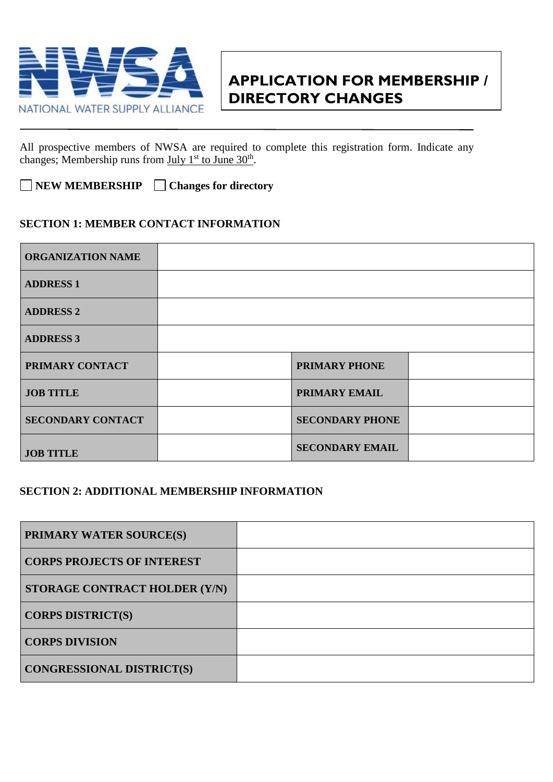

## **APPLICATION FOR MEMBERSHIP / DIRECTORY CHANGES**

All prospective members of NWSA are required to complete this registration form. Indicate any changes; Membership runs from July  $1<sup>st</sup>$  to June  $30<sup>th</sup>$ .

**NEW MEMBERSHIP Changes for directory**

## **SECTION 1: MEMBER CONTACT INFORMATION**

| <b>ORGANIZATION NAME</b> |                        |  |
|--------------------------|------------------------|--|
| <b>ADDRESS 1</b>         |                        |  |
| <b>ADDRESS 2</b>         |                        |  |
| <b>ADDRESS 3</b>         |                        |  |
| PRIMARY CONTACT          | <b>PRIMARY PHONE</b>   |  |
| <b>JOB TITLE</b>         | PRIMARY EMAIL          |  |
| <b>SECONDARY CONTACT</b> | <b>SECONDARY PHONE</b> |  |
| <b>JOB TITLE</b>         | <b>SECONDARY EMAIL</b> |  |

## **SECTION 2: ADDITIONAL MEMBERSHIP INFORMATION**

| <b>PRIMARY WATER SOURCE(S)</b>    |  |
|-----------------------------------|--|
| <b>CORPS PROJECTS OF INTEREST</b> |  |
| STORAGE CONTRACT HOLDER (Y/N)     |  |
| <b>CORPS DISTRICT(S)</b>          |  |
| <b>CORPS DIVISION</b>             |  |
| <b>CONGRESSIONAL DISTRICT(S)</b>  |  |